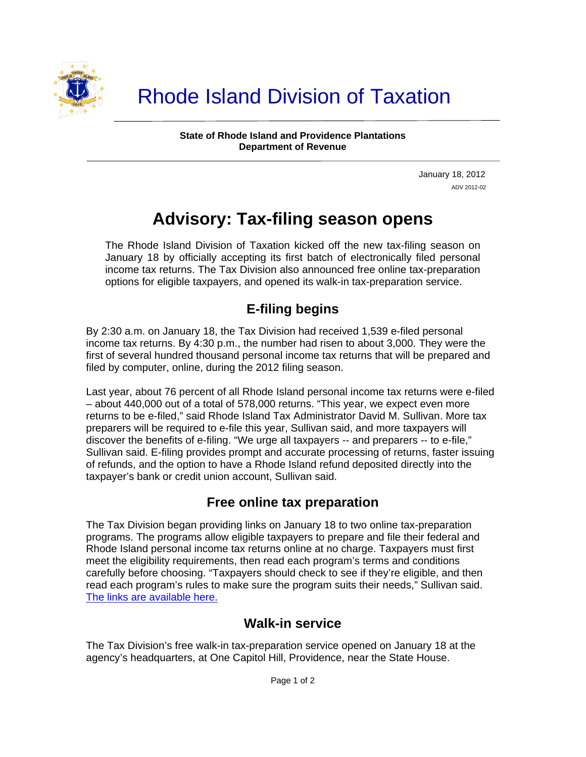

**State of Rhode Island and Providence Plantations Department of Revenue** 

> January 18, 2012 ADV 2012-02

# **Advisory: Tax-filing season opens**

The Rhode Island Division of Taxation kicked off the new tax-filing season on January 18 by officially accepting its first batch of electronically filed personal income tax returns. The Tax Division also announced free online tax-preparation options for eligible taxpayers, and opened its walk-in tax-preparation service.

# **E-filing begins**

By 2:30 a.m. on January 18, the Tax Division had received 1,539 e-filed personal income tax returns. By 4:30 p.m., the number had risen to about 3,000. They were the first of several hundred thousand personal income tax returns that will be prepared and filed by computer, online, during the 2012 filing season.

Last year, about 76 percent of all Rhode Island personal income tax returns were e-filed – about 440,000 out of a total of 578,000 returns. "This year, we expect even more returns to be e-filed," said Rhode Island Tax Administrator David M. Sullivan. More tax preparers will be required to e-file this year, Sullivan said, and more taxpayers will discover the benefits of e-filing. "We urge all taxpayers -- and preparers -- to e-file," Sullivan said. E-filing provides prompt and accurate processing of returns, faster issuing of refunds, and the option to have a Rhode Island refund deposited directly into the taxpayer's bank or credit union account, Sullivan said.

## **Free online tax preparation**

The Tax Division began providing links on January 18 to two online tax-preparation programs. The programs allow eligible taxpayers to prepare and file their federal and Rhode Island personal income tax returns online at no charge. Taxpayers must first meet the eligibility requirements, then read each program's terms and conditions carefully before choosing. "Taxpayers should check to see if they're eligible, and then read each program's rules to make sure the program suits their needs," Sullivan said. [The links are available here.](http://www.tax.ri.gov/misc/efile.php)

## **Walk-in service**

The Tax Division's free walk-in tax-preparation service opened on January 18 at the agency's headquarters, at One Capitol Hill, Providence, near the State House.